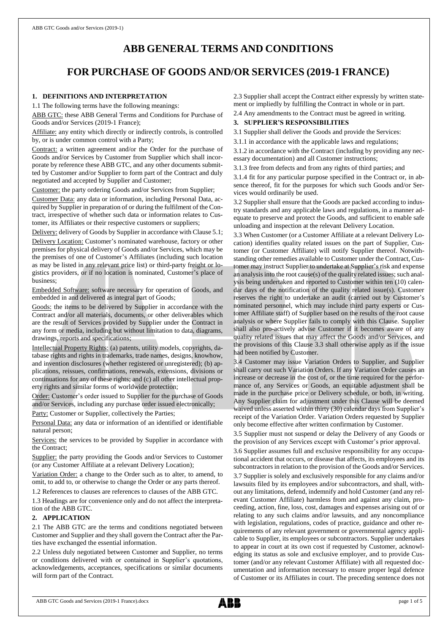# **ABB GENERAL TERMS AND CONDITIONS**

# **FOR PURCHASE OF GOODS AND/OR SERVICES (2019-1 FRANCE)**

# **1. DEFINITIONS AND INTERPRETATION**

1.1 The following terms have the following meanings:

ABB GTC: these ABB General Terms and Conditions for Purchase of Goods and/or Services (2019-1 France);

Affiliate: any entity which directly or indirectly controls, is controlled by, or is under common control with a Party;

Contract: a written agreement and/or the Order for the purchase of Goods and/or Services by Customer from Supplier which shall incorporate by reference these ABB GTC, and any other documents submitted by Customer and/or Supplier to form part of the Contract and duly negotiated and accepted by Supplier and Customer;

Customer: the party ordering Goods and/or Services from Supplier;

Customer Data: any data or information, including Personal Data, acquired by Supplier in preparation of or during the fulfilment of the Contract, irrespective of whether such data or information relates to Customer, its Affiliates or their respective customers or suppliers;

Delivery: delivery of Goods by Supplier in accordance with Clause 5.1;

Delivery Location: Customer's nominated warehouse, factory or other premises for physical delivery of Goods and/or Services, which may be the premises of one of Customer's Affiliates (including such location as may be listed in any relevant price list) or third-party freight or logistics providers, or if no location is nominated, Customer's place of business;

Embedded Software: software necessary for operation of Goods, and embedded in and delivered as integral part of Goods;

Goods: the items to be delivered by Supplier in accordance with the Contract and/or all materials, documents, or other deliverables which are the result of Services provided by Supplier under the Contract in any form or media, including but without limitation to data, diagrams, drawings, reports and specifications;

Intellectual Property Rights: (a) patents, utility models, copyrights, database rights and rights in trademarks, trade names, designs, knowhow, and invention disclosures (whether registered or unregistered); (b) applications, reissues, confirmations, renewals, extensions, divisions or continuations for any of these rights; and (c) all other intellectual property rights and similar forms of worldwide protection;

Order: Customer's order issued to Supplier for the purchase of Goods and/or Services, including any purchase order issued electronically;

Party: Customer or Supplier, collectively the Parties;

Personal Data: any data or information of an identified or identifiable natural person;

Services: the services to be provided by Supplier in accordance with the Contract;

Supplier: the party providing the Goods and/or Services to Customer (or any Customer Affiliate at a relevant Delivery Location);

Variation Order: a change to the Order such as to alter, to amend, to omit, to add to, or otherwise to change the Order or any parts thereof.

1.2 References to clauses are references to clauses of the ABB GTC.

1.3 Headings are for convenience only and do not affect the interpretation of the ABB GTC.

## **2. APPLICATION**

2.1 The ABB GTC are the terms and conditions negotiated between Customer and Supplier and they shall govern the Contract after the Parties have exchanged the essential information.

2.2 Unless duly negotiated between Customer and Supplier, no terms or conditions delivered with or contained in Supplier's quotations, acknowledgements, acceptances, specifications or similar documents will form part of the Contract.

2.3 Supplier shall accept the Contract either expressly by written statement or impliedly by fulfilling the Contract in whole or in part.

2.4 Any amendments to the Contract must be agreed in writing.

# **3. SUPPLIER'S RESPONSIBILITIES**

3.1 Supplier shall deliver the Goods and provide the Services:

3.1.1 in accordance with the applicable laws and regulations;

3.1.2 in accordance with the Contract (including by providing any necessary documentation) and all Customer instructions;

3.1.3 free from defects and from any rights of third parties; and

3.1.4 fit for any particular purpose specified in the Contract or, in absence thereof, fit for the purposes for which such Goods and/or Services would ordinarily be used.

3.2 Supplier shall ensure that the Goods are packed according to industry standards and any applicable laws and regulations, in a manner adequate to preserve and protect the Goods, and sufficient to enable safe unloading and inspection at the relevant Delivery Location.

3.3 When Customer (or a Customer Affiliate at a relevant Delivery Location) identifies quality related issues on the part of Supplier, Customer (or Customer Affiliate) will notify Supplier thereof. Notwithstanding other remedies available to Customer under the Contract, Customer may instruct Supplier to undertake at Supplier's risk and expense an analysis into the root cause(s) of the quality related issues; such analysis being undertaken and reported to Customer within ten (10) calendar days of the notification of the quality related issue(s). Customer reserves the right to undertake an audit (carried out by Customer's nominated personnel, which may include third party experts or Customer Affiliate staff) of Supplier based on the results of the root cause analysis or where Supplier fails to comply with this Clause. Supplier shall also pro-actively advise Customer if it becomes aware of any quality related issues that may affect the Goods and/or Services, and the provisions of this Clause 3.3 shall otherwise apply as if the issue had been notified by Customer.

3.4 Customer may issue Variation Orders to Supplier, and Supplier shall carry out such Variation Orders. If any Variation Order causes an increase or decrease in the cost of, or the time required for the performance of, any Services or Goods, an equitable adjustment shall be made in the purchase price or Delivery schedule, or both, in writing. Any Supplier claim for adjustment under this Clause will be deemed waived unless asserted within thirty (30) calendar days from Supplier's receipt of the Variation Order. Variation Orders requested by Supplier only become effective after written confirmation by Customer.

3.5 Supplier must not suspend or delay the Delivery of any Goods or the provision of any Services except with Customer's prior approval.

3.6 Supplier assumes full and exclusive responsibility for any occupational accident that occurs, or disease that affects, its employees and its subcontractors in relation to the provision of the Goods and/or Services. 3.7 Supplier is solely and exclusively responsible for any claims and/or lawsuits filed by its employees and/or subcontractors, and shall, without any limitations, defend, indemnify and hold Customer (and any relevant Customer Affiliate) harmless from and against any claim, proceeding, action, fine, loss, cost, damages and expenses arising out of or relating to any such claims and/or lawsuits, and any noncompliance with legislation, regulations, codes of practice, guidance and other requirements of any relevant government or governmental agency applicable to Supplier, its employees or subcontractors. Supplier undertakes to appear in court at its own cost if requested by Customer, acknowledging its status as sole and exclusive employer, and to provide Customer (and/or any relevant Customer Affiliate) with all requested documentation and information necessary to ensure proper legal defence of Customer or its Affiliates in court. The preceding sentence does not

ABB GTC Goods and Services (2019-1 France).docx page 1 of 5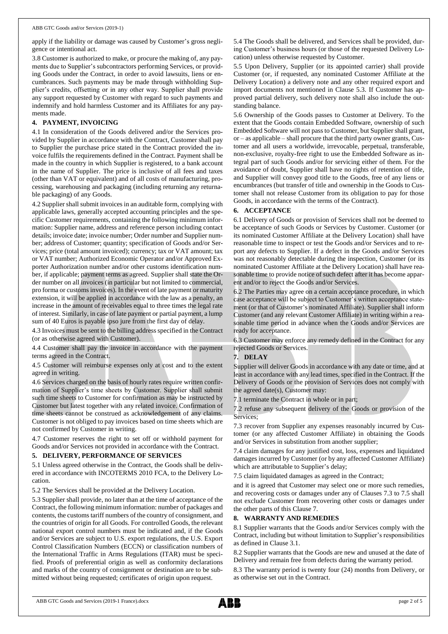apply if the liability or damage was caused by Customer's gross negligence or intentional act.

3.8 Customer is authorized to make, or procure the making of, any payments due to Supplier's subcontractors performing Services, or providing Goods under the Contract, in order to avoid lawsuits, liens or encumbrances. Such payments may be made through withholding Supplier's credits, offsetting or in any other way. Supplier shall provide any support requested by Customer with regard to such payments and indemnify and hold harmless Customer and its Affiliates for any payments made.

# **4. PAYMENT, INVOICING**

4.1 In consideration of the Goods delivered and/or the Services provided by Supplier in accordance with the Contract, Customer shall pay to Supplier the purchase price stated in the Contract provided the invoice fulfils the requirements defined in the Contract. Payment shall be made in the country in which Supplier is registered, to a bank account in the name of Supplier. The price is inclusive of all fees and taxes (other than VAT or equivalent) and of all costs of manufacturing, processing, warehousing and packaging (including returning any returnable packaging) of any Goods.

4.2 Supplier shall submit invoices in an auditable form, complying with applicable laws, generally accepted accounting principles and the specific Customer requirements, containing the following minimum information: Supplier name, address and reference person including contact details; invoice date; invoice number; Order number and Supplier number; address of Customer; quantity; specification of Goods and/or Services; price (total amount invoiced); currency; tax or VAT amount; tax or VAT number; Authorized Economic Operator and/or Approved Exporter Authorization number and/or other customs identification number, if applicable; payment terms as agreed. Supplier shall state the Order number on all invoices (in particular but not limited to commercial, pro forma or customs invoices). In the event of late payment or maturity extension, it will be applied in accordance with the law as a penalty, an increase in the amount of receivables equal to three times the legal rate of interest. Similarly, in case of late payment or partial payment, a lump sum of 40 Euros is payable ipso jure from the first day of delay.

4.3 Invoices must be sent to the billing address specified in the Contract (or as otherwise agreed with Customer).

4.4 Customer shall pay the invoice in accordance with the payment terms agreed in the Contract.

4.5 Customer will reimburse expenses only at cost and to the extent agreed in writing.

4.6 Services charged on the basis of hourly rates require written confirmation of Supplier's time sheets by Customer. Supplier shall submit such time sheets to Customer for confirmation as may be instructed by Customer but latest together with any related invoice. Confirmation of time sheets cannot be construed as acknowledgement of any claims. Customer is not obliged to pay invoices based on time sheets which are not confirmed by Customer in writing.

4.7 Customer reserves the right to set off or withhold payment for Goods and/or Services not provided in accordance with the Contract.

## **5. DELIVERY, PERFORMANCE OF SERVICES**

5.1 Unless agreed otherwise in the Contract, the Goods shall be delivered in accordance with INCOTERMS 2010 FCA, to the Delivery Location.

5.2 The Services shall be provided at the Delivery Location.

5.3 Supplier shall provide, no later than at the time of acceptance of the Contract, the following minimum information: number of packages and contents, the customs tariff numbers of the country of consignment, and the countries of origin for all Goods. For controlled Goods, the relevant national export control numbers must be indicated and, if the Goods and/or Services are subject to U.S. export regulations, the U.S. Export Control Classification Numbers (ECCN) or classification numbers of the International Traffic in Arms Regulations (ITAR) must be specified. Proofs of preferential origin as well as conformity declarations and marks of the country of consignment or destination are to be submitted without being requested; certificates of origin upon request.

5.4 The Goods shall be delivered, and Services shall be provided, during Customer's business hours (or those of the requested Delivery Location) unless otherwise requested by Customer.

5.5 Upon Delivery, Supplier (or its appointed carrier) shall provide Customer (or, if requested, any nominated Customer Affiliate at the Delivery Location) a delivery note and any other required export and import documents not mentioned in Clause 5.3. If Customer has approved partial delivery, such delivery note shall also include the outstanding balance.

5.6 Ownership of the Goods passes to Customer at Delivery. To the extent that the Goods contain Embedded Software, ownership of such Embedded Software will not passto Customer, but Supplier shall grant, or – as applicable – shall procure that the third party owner grants, Customer and all users a worldwide, irrevocable, perpetual, transferable, non-exclusive, royalty-free right to use the Embedded Software as integral part of such Goods and/or for servicing either of them. For the avoidance of doubt, Supplier shall have no rights of retention of title, and Supplier will convey good title to the Goods, free of any liens or encumbrances (but transfer of title and ownership in the Goods to Customer shall not release Customer from its obligation to pay for those Goods, in accordance with the terms of the Contract).

#### **6. ACCEPTANCE**

6.1 Delivery of Goods or provision of Services shall not be deemed to be acceptance of such Goods or Services by Customer. Customer (or its nominated Customer Affiliate at the Delivery Location) shall have reasonable time to inspect or test the Goods and/or Services and to report any defects to Supplier. If a defect in the Goods and/or Services was not reasonably detectable during the inspection, Customer (or its nominated Customer Affiliate at the Delivery Location) shall have reasonable time to provide notice of such defect after it has become apparent and/or to reject the Goods and/or Services.

6.2 The Parties may agree on a certain acceptance procedure, in which case acceptance will be subject to Customer's written acceptance statement (or that of Customer's nominated Affiliate). Supplier shall inform Customer (and any relevant Customer Affiliate) in writing within a reasonable time period in advance when the Goods and/or Services are ready for acceptance.

6.3 Customer may enforce any remedy defined in the Contract for any rejected Goods or Services.

## **7. DELAY**

Supplier will deliver Goods in accordance with any date or time, and at least in accordance with any lead times, specified in the Contract. If the Delivery of Goods or the provision of Services does not comply with the agreed date(s), Customer may:

7.1 terminate the Contract in whole or in part;

7.2 refuse any subsequent delivery of the Goods or provision of the Services;

7.3 recover from Supplier any expenses reasonably incurred by Customer (or any affected Customer Affiliate) in obtaining the Goods and/or Services in substitution from another supplier;

7.4 claim damages for any justified cost, loss, expenses and liquidated damages incurred by Customer (or by any affected Customer Affiliate) which are attributable to Supplier's delay;

7.5 claim liquidated damages as agreed in the Contract;

and it is agreed that Customer may select one or more such remedies, and recovering costs or damages under any of Clauses 7.3 to 7.5 shall not exclude Customer from recovering other costs or damages under the other parts of this Clause 7.

## **8. WARRANTY AND REMEDIES**

8.1 Supplier warrants that the Goods and/or Services comply with the Contract, including but without limitation to Supplier's responsibilities as defined in Clause 3.1.

8.2 Supplier warrants that the Goods are new and unused at the date of Delivery and remain free from defects during the warranty period.

8.3 The warranty period is twenty four (24) months from Delivery, or as otherwise set out in the Contract.

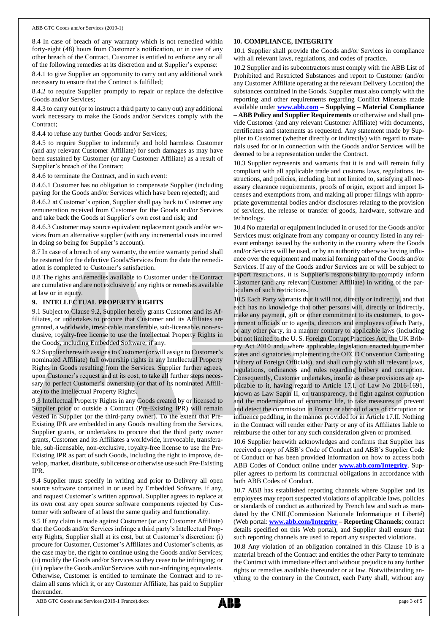8.4 In case of breach of any warranty which is not remedied within forty-eight (48) hours from Customer's notification, or in case of any other breach of the Contract, Customer is entitled to enforce any or all of the following remedies at its discretion and at Supplier's expense:

8.4.1 to give Supplier an opportunity to carry out any additional work necessary to ensure that the Contract is fulfilled;

8.4.2 to require Supplier promptly to repair or replace the defective Goods and/or Services;

8.4.3 to carry out (or to instruct a third party to carry out) any additional work necessary to make the Goods and/or Services comply with the Contract;

8.4.4 to refuse any further Goods and/or Services;

8.4.5 to require Supplier to indemnify and hold harmless Customer (and any relevant Customer Affiliate) for such damages as may have been sustained by Customer (or any Customer Affiliate) as a result of Supplier's breach of the Contract;

8.4.6 to terminate the Contract, and in such event:

8.4.6.1 Customer has no obligation to compensate Supplier (including paying for the Goods and/or Services which have been rejected); and

8.4.6.2 at Customer's option, Supplier shall pay back to Customer any remuneration received from Customer for the Goods and/or Services and take back the Goods at Supplier's own cost and risk; and

8.4.6.3 Customer may source equivalent replacement goods and/or services from an alternative supplier (with any incremental costs incurred in doing so being for Supplier's account).

8.7 In case of a breach of any warranty, the entire warranty period shall be restarted for the defective Goods/Services from the date the remediation is completed to Customer's satisfaction.

8.8 The rights and remedies available to Customer under the Contract are cumulative and are not exclusive of any rights or remedies available at law or in equity.

# **9. INTELLECTUAL PROPERTY RIGHTS**

9.1 Subject to Clause 9.2, Supplier hereby grants Customer and its Affiliates, or undertakes to procure that Customer and its Affiliates are granted, a worldwide, irrevocable, transferable, sub-licensable, non-exclusive, royalty-free license to use the Intellectual Property Rights in the Goods, including Embedded Software, if any.

9.2 Supplier herewith assigns to Customer (or will assign to Customer's nominated Affiliate) full ownership rights in any Intellectual Property Rights in Goods resulting from the Services. Supplier further agrees, upon Customer's request and at its cost, to take all further steps necessary to perfect Customer's ownership (or that of its nominated Affiliate) to the Intellectual Property Rights.

9.3 Intellectual Property Rights in any Goods created by or licensed to Supplier prior or outside a Contract (Pre-Existing IPR) will remain vested in Supplier (or the third-party owner). To the extent that Pre-Existing IPR are embedded in any Goods resulting from the Services, Supplier grants, or undertakes to procure that the third party owner grants, Customer and its Affiliates a worldwide, irrevocable, transferable, sub-licensable, non-exclusive, royalty-free license to use the Pre-Existing IPR as part of such Goods, including the right to improve, develop, market, distribute, sublicense or otherwise use such Pre-Existing IPR.

9.4 Supplier must specify in writing and prior to Delivery all open source software contained in or used by Embedded Software, if any, and request Customer's written approval. Supplier agrees to replace at its own cost any open source software components rejected by Customer with software of at least the same quality and functionality.

9.5 If any claim is made against Customer (or any Customer Affiliate) that the Goods and/or Services infringe a third party's Intellectual Property Rights, Supplier shall at its cost, but at Customer's discretion: (i) procure for Customer, Customer's Affiliates and Customer's clients, as the case may be, the right to continue using the Goods and/or Services; (ii) modify the Goods and/or Services so they cease to be infringing; or (iii) replace the Goods and/or Services with non-infringing equivalents. Otherwise, Customer is entitled to terminate the Contract and to reclaim all sums which it, or any Customer Affiliate, has paid to Supplier thereunder.

## **10. COMPLIANCE, INTEGRITY**

10.1 Supplier shall provide the Goods and/or Services in compliance with all relevant laws, regulations, and codes of practice.

10.2 Supplier and its subcontractors must comply with the ABB List of Prohibited and Restricted Substances and report to Customer (and/or any Customer Affiliate operating at the relevant Delivery Location) the substances contained in the Goods. Supplier must also comply with the reporting and other requirements regarding Conflict Minerals made available under **[www.abb.com](http://www.abb.com/) – Supplying – Material Compliance – ABB Policy and Supplier Requirements** or otherwise and shall provide Customer (and any relevant Customer Affiliate) with documents, certificates and statements as requested. Any statement made by Supplier to Customer (whether directly or indirectly) with regard to materials used for or in connection with the Goods and/or Services will be deemed to be a representation under the Contract.

10.3 Supplier represents and warrants that it is and will remain fully compliant with all applicable trade and customs laws, regulations, instructions, and policies, including, but not limited to, satisfying all necessary clearance requirements, proofs of origin, export and import licenses and exemptions from, and making all proper filings with appropriate governmental bodies and/or disclosures relating to the provision of services, the release or transfer of goods, hardware, software and technology.

10.4 No material or equipment included in or used for the Goods and/or Services must originate from any company or country listed in any relevant embargo issued by the authority in the country where the Goods and/or Services will be used, or by an authority otherwise having influence over the equipment and material forming part of the Goods and/or Services. If any of the Goods and/or Services are or will be subject to export restrictions, it is Supplier's responsibility to promptly inform Customer (and any relevant Customer Affiliate) in writing of the particulars of such restrictions.

10.5 Each Party warrants that it will not, directly or indirectly, and that each has no knowledge that other persons will, directly or indirectly, make any payment, gift or other commitment to its customers, to government officials or to agents, directors and employees of each Party, or any other party, in a manner contrary to applicable laws (including but not limited to the U. S. Foreign Corrupt Practices Act, the UK Bribery Act 2010 and, where applicable, legislation enacted by member states and signatories implementing the OECD Convention Combating Bribery of Foreign Officials), and shall comply with all relevant laws, regulations, ordinances and rules regarding bribery and corruption. Consequently, Customer undertakes, insofar as these provisions are applicable to it, having regard to Article 17.I. of Law No 2016-1691, known as Law Sapin II, on transparency, the fight against corruption and the modernization of economic life, to take measures to prevent and detect the commission in France or abroad of acts of corruption or influence peddling, in the manner provided for in Article 17.II. Nothing in the Contract will render either Party or any of its Affiliates liable to reimburse the other for any such consideration given or promised.

10.6 Supplier herewith acknowledges and confirms that Supplier has received a copy of ABB's Code of Conduct and ABB's Supplier Code of Conduct or has been provided information on how to access both ABB Codes of Conduct online under **[www.abb.com/Integrity](http://www.abb.com/Integrity)**. Supplier agrees to perform its contractual obligations in accordance with both ABB Codes of Conduct.

10.7 ABB has established reporting channels where Supplier and its employees may report suspected violations of applicable laws, policies or standards of conduct as authorized by French law and such as mandated by the CNIL(Commission Nationale Informatique et Liberté) (Web portal: **[www.abb.com/Integrity](http://www.abb.com/Integrity) – Reporting Channels**; contact details specified on this Web portal), and Supplier shall ensure that such reporting channels are used to report any suspected violations.

10.8 Any violation of an obligation contained in this Clause 10 is a material breach of the Contract and entitles the other Party to terminate the Contract with immediate effect and without prejudice to any further rights or remedies available thereunder or at law. Notwithstanding anything to the contrary in the Contract, each Party shall, without any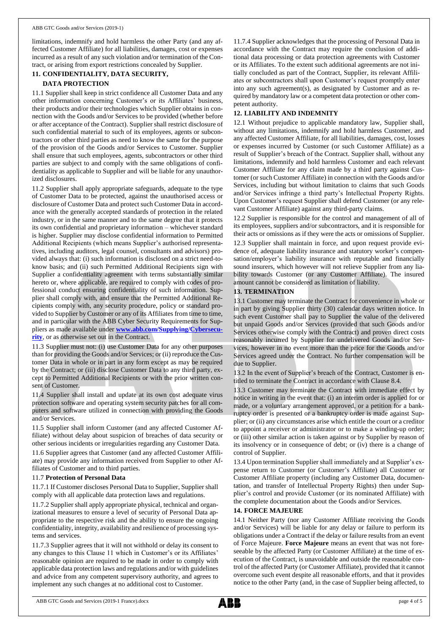limitations, indemnify and hold harmless the other Party (and any affected Customer Affiliate) for all liabilities, damages, cost or expenses incurred as a result of any such violation and/or termination of the Contract, or arising from export restrictions concealed by Supplier.

# **11. CONFIDENTIALITY, DATA SECURITY,**

#### **DATA PROTECTION**

11.1 Supplier shall keep in strict confidence all Customer Data and any other information concerning Customer's or its Affiliates' business, their products and/or their technologies which Supplier obtains in connection with the Goods and/or Services to be provided (whether before or after acceptance of the Contract). Supplier shall restrict disclosure of such confidential material to such of its employees, agents or subcontractors or other third parties as need to know the same for the purpose of the provision of the Goods and/or Services to Customer. Supplier shall ensure that such employees, agents, subcontractors or other third parties are subject to and comply with the same obligations of confidentiality as applicable to Supplier and will be liable for any unauthorized disclosures.

11.2 Supplier shall apply appropriate safeguards, adequate to the type of Customer Data to be protected, against the unauthorised access or disclosure of Customer Data and protect such Customer Data in accordance with the generally accepted standards of protection in the related industry, or in the same manner and to the same degree that it protects its own confidential and proprietary information – whichever standard is higher. Supplier may disclose confidential information to Permitted Additional Recipients (which means Supplier's authorised representatives, including auditors, legal counsel, consultants and advisors) provided always that: (i) such information is disclosed on a strict need-toknow basis; and (ii) such Permitted Additional Recipients sign with Supplier a confidentiality agreement with terms substantially similar hereto or, where applicable, are required to comply with codes of professional conduct ensuring confidentiality of such information. Supplier shall comply with, and ensure that the Permitted Additional Recipients comply with, any security procedure, policy or standard provided to Supplier by Customer or any of its Affiliates from time to time, and in particular with the ABB Cyber Security Requirements for Suppliers as made available under **[www.abb.com/Supplying/Cybersecu](http://www.abb.com/Supplying/Cybersecurity)[rity](http://www.abb.com/Supplying/Cybersecurity)**, or as otherwise set out in the Contract.

11.3 Supplier must not: (i) use Customer Data for any other purposes than for providing the Goods and/or Services; or (ii) reproduce the Customer Data in whole or in part in any form except as may be required by the Contract; or (iii) disclose Customer Data to any third party, except to Permitted Additional Recipients or with the prior written consent of Customer.

11.4 Supplier shall install and update at its own cost adequate virus protection software and operating system security patches for all computers and software utilized in connection with providing the Goods and/or Services.

11.5 Supplier shall inform Customer (and any affected Customer Affiliate) without delay about suspicion of breaches of data security or other serious incidents or irregularities regarding any Customer Data.

11.6 Supplier agrees that Customer (and any affected Customer Affiliate) may provide any information received from Supplier to other Affiliates of Customer and to third parties.

## 11.7 **Protection of Personal Data**

11.7.1 If Customer discloses Personal Data to Supplier, Supplier shall comply with all applicable data protection laws and regulations.

11.7.2 Supplier shall apply appropriate physical, technical and organizational measures to ensure a level of security of Personal Data appropriate to the respective risk and the ability to ensure the ongoing confidentiality, integrity, availability and resilience of processing systems and services.

11.7.3 Supplier agrees that it will not withhold or delay its consent to any changes to this Clause 11 which in Customer's or its Affiliates' reasonable opinion are required to be made in order to comply with applicable data protection laws and regulations and/or with guidelines and advice from any competent supervisory authority, and agrees to implement any such changes at no additional cost to Customer.

11.7.4 Supplier acknowledges that the processing of Personal Data in accordance with the Contract may require the conclusion of additional data processing or data protection agreements with Customer or its Affiliates. To the extent such additional agreements are not initially concluded as part of the Contract, Supplier, its relevant Affiliates or subcontractors shall upon Customer's request promptly enter into any such agreement(s), as designated by Customer and as required by mandatory law or a competent data protection or other competent authority.

# **12. LIABILITY AND INDEMNITY**

12.1 Without prejudice to applicable mandatory law, Supplier shall, without any limitations, indemnify and hold harmless Customer, and any affected Customer Affiliate, for all liabilities, damages, cost, losses or expenses incurred by Customer (or such Customer Affiliate) as a result of Supplier's breach of the Contract. Supplier shall, without any limitations, indemnify and hold harmless Customer and each relevant Customer Affiliate for any claim made by a third party against Customer (or such Customer Affiliate) in connection with the Goods and/or Services, including but without limitation to claims that such Goods and/or Services infringe a third party's Intellectual Property Rights. Upon Customer's request Supplier shall defend Customer (or any relevant Customer Affiliate) against any third-party claims.

12.2 Supplier is responsible for the control and management of all of its employees, suppliers and/or subcontractors, and it is responsible for their acts or omissions as if they were the acts or omissions of Supplier.

12.3 Supplier shall maintain in force, and upon request provide evidence of, adequate liability insurance and statutory worker's compensation/employer's liability insurance with reputable and financially sound insurers, which however will not relieve Supplier from any liability towards Customer (or any Customer Affiliate). The insured amount cannot be considered as limitation of liability.

## **13. TERMINATION**

13.1 Customer may terminate the Contract for convenience in whole or in part by giving Supplier thirty (30) calendar days written notice. In such event Customer shall pay to Supplier the value of the delivered but unpaid Goods and/or Services (provided that such Goods and/or Services otherwise comply with the Contract) and proven direct costs reasonably incurred by Supplier for undelivered Goods and/or Services, however in no event more than the price for the Goods and/or Services agreed under the Contract. No further compensation will be due to Supplier.

13.2 In the event of Supplier's breach of the Contract, Customer is entitled to terminate the Contract in accordance with Clause 8.4.

13.3 Customer may terminate the Contract with immediate effect by notice in writing in the event that: (i) an interim order is applied for or made, or a voluntary arrangement approved, or a petition for a bankruptcy order is presented or a bankruptcy order is made against Supplier; or (ii) any circumstances arise which entitle the court or a creditor to appoint a receiver or administrator or to make a winding-up order; or (iii) other similar action is taken against or by Supplier by reason of its insolvency or in consequence of debt; or (iv) there is a change of control of Supplier.

13.4 Upon termination Supplier shall immediately and at Supplier's expense return to Customer (or Customer's Affiliate) all Customer or Customer Affiliate property (including any Customer Data, documentation, and transfer of Intellectual Property Rights) then under Supplier's control and provide Customer (or its nominated Affiliate) with the complete documentation about the Goods and/or Services.

## **14. FORCE MAJEURE**

14.1 Neither Party (nor any Customer Affiliate receiving the Goods and/or Services) will be liable for any delay or failure to perform its obligations under a Contract if the delay or failure results from an event of Force Majeure. **Force Majeure** means an event that was not foreseeable by the affected Party (or Customer Affiliate) at the time of execution of the Contract, is unavoidable and outside the reasonable control of the affected Party (or Customer Affiliate), provided that it cannot overcome such event despite all reasonable efforts, and that it provides notice to the other Party (and, in the case of Supplier being affected, to